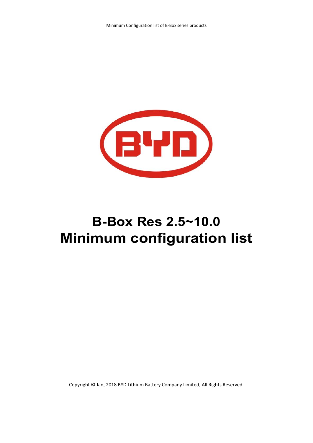

# **B-Box Res 2.5~10.0 Minimum configuration list**

Copyright © Jan, 2018 BYD Lithium Battery Company Limited, All Rights Reserved.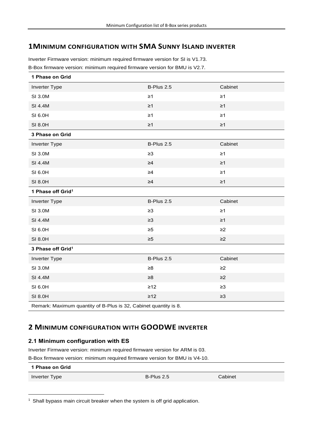## **1MINIMUM CONFIGURATION WITH SMA SUNNY ISLAND INVERTER**

Inverter Firmware version: minimum required firmware version for SI is V1.73. B-Box firmware version: minimum required firmware version for BMU is V2.7.

| 1 Phase on Grid                                                  |            |          |
|------------------------------------------------------------------|------------|----------|
| Inverter Type                                                    | B-Plus 2.5 | Cabinet  |
| SI 3.0M                                                          | $\geq 1$   | $\geq$ 1 |
| SI 4.4M                                                          | $\geq$ 1   | $\geq 1$ |
| SI 6.0H                                                          | $\geq 1$   | $\geq$ 1 |
| SI 8.0H                                                          | $\geq 1$   | $\geq 1$ |
| 3 Phase on Grid                                                  |            |          |
| Inverter Type                                                    | B-Plus 2.5 | Cabinet  |
| SI 3.0M                                                          | $\geq 3$   | $\geq 1$ |
| SI 4.4M                                                          | $\geq 4$   | $\geq 1$ |
| SI 6.0H                                                          | $\geq 4$   | $\geq 1$ |
| SI 8.0H                                                          | $\geq 4$   | $\geq 1$ |
| 1 Phase off Grid <sup>1</sup>                                    |            |          |
| Inverter Type                                                    | B-Plus 2.5 | Cabinet  |
| SI 3.0M                                                          | $\geq 3$   | $\geq$ 1 |
| SI 4.4M                                                          | $\geq 3$   | $\geq$ 1 |
| SI 6.0H                                                          | $\geq 5$   | $\geq$ 2 |
| SI 8.0H                                                          | $\geq 5$   | $\geq$ 2 |
| 3 Phase off Grid <sup>1</sup>                                    |            |          |
| Inverter Type                                                    | B-Plus 2.5 | Cabinet  |
| SI 3.0M                                                          | $\geq 8$   | $\geq$ 2 |
| SI 4.4M                                                          | $\geq 8$   | $\geq$ 2 |
| SI 6.0H                                                          | $\geq 12$  | $\geq 3$ |
| SI 8.0H                                                          | $\geq 12$  | $\geq 3$ |
| Remark: Maximum quantity of B-Plus is 32, Cabinet quantity is 8. |            |          |

## **2 MINIMUM CONFIGURATION WITH GOODWE INVERTER**

#### **2.1 Minimum configuration with ES**

Inverter Firmware version: minimum required firmware version for ARM is 03.

B-Box firmware version: minimum required firmware version for BMU is V4-10.

**1 Phase on Grid**

Inverter Type **B-Plus 2.5** Cabinet

1

 $1$  Shall bypass main circuit breaker when the system is off grid application.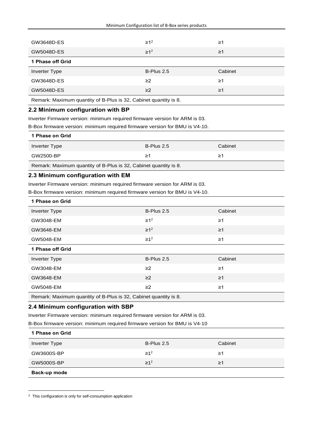| GW3648D-ES       | $\geq 1^2$   | ≥1       |
|------------------|--------------|----------|
| GW5048D-ES       | $\geq 1^2$   | $\geq$ 1 |
| 1 Phase off Grid |              |          |
|                  |              |          |
| Inverter Type    | $B-Plus 2.5$ | Cabinet  |
| GW3648D-ES       | $\geq$ 2     | ≥1       |
| GW5048D-ES       | $\geq$ 2     | $\geq$ 1 |

Remark: Maximum quantity of B-Plus is 32, Cabinet quantity is 8.

#### **2.2 Minimum configuration with BP**

Inverter Firmware version: minimum required firmware version for ARM is 03.

B-Box firmware version: minimum required firmware version for BMU is V4-10.

| 1 Phase on Grid |            |         |  |
|-----------------|------------|---------|--|
| Inverter Type   | B-Plus 2.5 | Cabinet |  |
| GW2500-BP       | ≥1         | 21      |  |
|                 |            |         |  |

Remark: Maximum quantity of B-Plus is 32, Cabinet quantity is 8.

#### **2.3 Minimum configuration with EM**

Inverter Firmware version: minimum required firmware version for ARM is 03.

B-Box firmware version: minimum required firmware version for BMU is V4-10.

| 1 Phase on Grid                                                  |            |          |
|------------------------------------------------------------------|------------|----------|
| <b>Inverter Type</b>                                             | B-Plus 2.5 | Cabinet  |
| GW3048-EM                                                        | $\geq 1^2$ | $\geq$ 1 |
| GW3648-EM                                                        | $\geq 1^2$ | $\geq$ 1 |
| GW5048-EM                                                        | $\geq 1^2$ | $\geq$ 1 |
| 1 Phase off Grid                                                 |            |          |
| <b>Inverter Type</b>                                             | B-Plus 2.5 | Cabinet  |
| GW3048-EM                                                        | $\geq$ 2   | $\geq$ 1 |
| GW3648-EM                                                        | $\geq$ 2   | $\geq$ 1 |
| GW5048-EM                                                        | $\geq$ 2   | $\geq$ 1 |
| Remark: Maximum quantity of B-Plus is 32, Cabinet quantity is 8. |            |          |

#### **2.4 Minimum configuration with SBP**

Inverter Firmware version: minimum required firmware version for ARM is 03.

B-Box firmware version: minimum required firmware version for BMU is V4-10

| 1 Phase on Grid |            |         |
|-----------------|------------|---------|
| Inverter Type   | B-Plus 2.5 | Cabinet |
| GW3600S-BP      | $\geq 1^2$ | ≥1      |
| GW5000S-BP      | $\geq 1^2$ | ≥1      |
| Back-up mode    |            |         |

<sup>&</sup>lt;sup>2</sup> This configuration is only for self-consumption application

1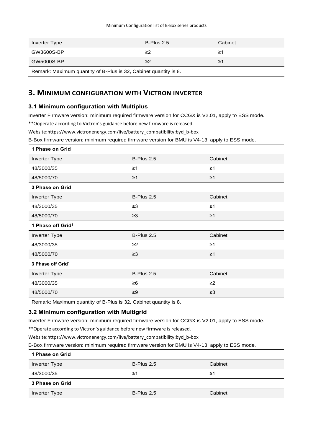| Inverter Type                                                    | $B-Plus 2.5$ | Cabinet |
|------------------------------------------------------------------|--------------|---------|
| GW3600S-BP                                                       | ≥2           | ≥1      |
| GW5000S-BP                                                       | $\geq$       | ≥1      |
| Remark: Maximum quantity of B-Plus is 32, Cabinet quantity is 8. |              |         |

## **3. MINIMUM CONFIGURATION WITH VICTRON INVERTER**

#### **3.1 Minimum configuration with Multiplus**

Inverter Firmware version: minimum required firmware version for CCGX is V2.01, apply to ESS mode.

\*\*Ooperate according to Victron's guidance before new firmware is released.

Website:https://www.victronenergy.com/live/battery\_compatibility:byd\_b-box

B-Box firmware version: minimum required firmware version for BMU is V4-13, apply to ESS mode.

| 1 Phase on Grid                                                  |            |          |
|------------------------------------------------------------------|------------|----------|
| <b>Inverter Type</b>                                             | B-Plus 2.5 | Cabinet  |
| 48/3000/35                                                       | $\geq$ 1   | $\geq 1$ |
| 48/5000/70                                                       | $\geq 1$   | $\geq$ 1 |
| 3 Phase on Grid                                                  |            |          |
| <b>Inverter Type</b>                                             | B-Plus 2.5 | Cabinet  |
| 48/3000/35                                                       | $\geq 3$   | $\geq 1$ |
| 48/5000/70                                                       | $\geq$ 3   | $\geq 1$ |
| 1 Phase off Grid <sup>1</sup>                                    |            |          |
| <b>Inverter Type</b>                                             | B-Plus 2.5 | Cabinet  |
| 48/3000/35                                                       | $\geq$ 2   | $\geq$ 1 |
| 48/5000/70                                                       | $\geq 3$   | $\geq$ 1 |
| 3 Phase off Grid <sup>1</sup>                                    |            |          |
| <b>Inverter Type</b>                                             | B-Plus 2.5 | Cabinet  |
| 48/3000/35                                                       | $\geq 6$   | $\geq$ 2 |
| 48/5000/70                                                       | $\geq 9$   | $\geq 3$ |
| Remark: Maximum quantity of B-Plus is 32, Cabinet quantity is 8. |            |          |

## **3.2 Minimum configuration with Multigrid**

Inverter Firmware version: minimum required firmware version for CCGX is V2.01, apply to ESS mode.

\*\*Operate according to Victron's guidance before new firmware is released.

Website:https://www.victronenergy.com/live/battery\_compatibility:byd\_b-box

B-Box firmware version: minimum required firmware version for BMU is V4-13, apply to ESS mode.

| 1 Phase on Grid |            |         |
|-----------------|------------|---------|
| Inverter Type   | B-Plus 2.5 | Cabinet |
| 48/3000/35      | ≥1         | ≥1      |
| 3 Phase on Grid |            |         |
| Inverter Type   | B-Plus 2.5 | Cabinet |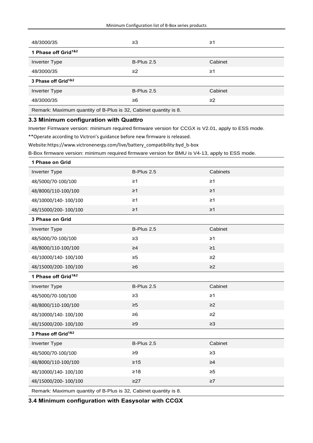| 48/3000/35                                                       | ≥3         | ≥1       |
|------------------------------------------------------------------|------------|----------|
| 1 Phase off Grid <sup>1&amp;2</sup>                              |            |          |
| Inverter Type                                                    | B-Plus 2.5 | Cabinet  |
| 48/3000/35                                                       | $\geq$     | $\geq$ 1 |
| 3 Phase off Grid <sup>1&amp;2</sup>                              |            |          |
| Inverter Type                                                    | B-Plus 2.5 | Cabinet  |
| 48/3000/35                                                       | ≥6         | $\geq$ 2 |
| Remark: Maximum quantity of B-Plus is 32, Cabinet quantity is 8. |            |          |

#### **3.3 Minimum configuration with Quattro**

Inverter Firmware version: minimum required firmware version for CCGX is V2.01, apply to ESS mode.

\*\*Operate according to Victron's guidance before new firmware is released.

Website:https://www.victronenergy.com/live/battery\_compatibility:byd\_b-box

B-Box firmware version: minimum required firmware version for BMU is V4-13, apply to ESS mode.

| 1 Phase on Grid                                                  |            |          |  |
|------------------------------------------------------------------|------------|----------|--|
| Inverter Type                                                    | B-Plus 2.5 | Cabinets |  |
| 48/5000/70-100/100                                               | $\geq 1$   | $\geq 1$ |  |
| 48/8000/110-100/100                                              | $\geq 1$   | $\geq 1$ |  |
| 48/10000/140-100/100                                             | $\geq 1$   | $\geq 1$ |  |
| 48/15000/200-100/100                                             | $\geq$ 1   | $\geq$ 1 |  |
| 3 Phase on Grid                                                  |            |          |  |
| <b>Inverter Type</b>                                             | B-Plus 2.5 | Cabinet  |  |
| 48/5000/70-100/100                                               | $\geq 3$   | $\geq 1$ |  |
| 48/8000/110-100/100                                              | $\geq 4$   | $\geq$ 1 |  |
| 48/10000/140-100/100                                             | $\geq 5$   | $\geq$ 2 |  |
| 48/15000/200-100/100                                             | $\geq 6$   | $\geq$ 2 |  |
| 1 Phase off Grid <sup>1&amp;2</sup>                              |            |          |  |
| <b>Inverter Type</b>                                             | B-Plus 2.5 | Cabinet  |  |
| 48/5000/70-100/100                                               | $\geq$ 3   | $\geq 1$ |  |
| 48/8000/110-100/100                                              | $\geq 5$   | $\geq$ 2 |  |
| 48/10000/140-100/100                                             | $\geq 6$   | $\geq$ 2 |  |
| 48/15000/200-100/100                                             | $\geq 9$   | $\geq 3$ |  |
| 3 Phase off Grid <sup>1&amp;2</sup>                              |            |          |  |
| <b>Inverter Type</b>                                             | B-Plus 2.5 | Cabinet  |  |
| 48/5000/70-100/100                                               | $\geq 9$   | $\geq 3$ |  |
| 48/8000/110-100/100                                              | $\geq 15$  | $\geq 4$ |  |
| 48/10000/140-100/100                                             | $\geq 18$  | $\geq 5$ |  |
| 48/15000/200-100/100                                             | $\geq$ 27  | $\geq 7$ |  |
| Remark: Maximum quantity of B-Plus is 32, Cabinet quantity is 8. |            |          |  |

**3.4 Minimum configuration with Easysolar with CCGX**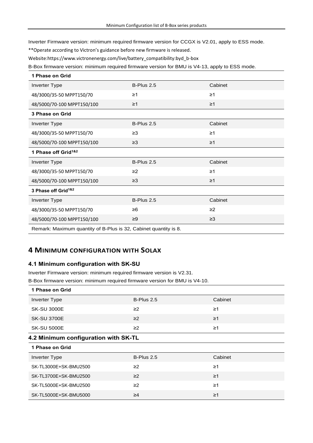Inverter Firmware version: minimum required firmware version for CCGX is V2.01, apply to ESS mode.

\*\*Operate according to Victron's guidance before new firmware is released.

Website:https://www.victronenergy.com/live/battery\_compatibility:byd\_b-box

B-Box firmware version: minimum required firmware version for BMU is V4-13, apply to ESS mode.

| 1 Phase on Grid                                                  |            |          |
|------------------------------------------------------------------|------------|----------|
| <b>Inverter Type</b>                                             | B-Plus 2.5 | Cabinet  |
| 48/3000/35-50 MPPT150/70                                         | $\geq$ 1   | $\geq 1$ |
| 48/5000/70-100 MPPT150/100                                       | $\geq$ 1   | $\geq$ 1 |
| 3 Phase on Grid                                                  |            |          |
| <b>Inverter Type</b>                                             | B-Plus 2.5 | Cabinet  |
| 48/3000/35-50 MPPT150/70                                         | $\geq$ 3   | $\geq 1$ |
| 48/5000/70-100 MPPT150/100                                       | $\geq$ 3   | $\geq$ 1 |
| 1 Phase off Grid <sup>1&amp;2</sup>                              |            |          |
| <b>Inverter Type</b>                                             | B-Plus 2.5 | Cabinet  |
| 48/3000/35-50 MPPT150/70                                         | $\geq$ 2   | $\geq 1$ |
| 48/5000/70-100 MPPT150/100                                       | $\geq$ 3   | $\geq 1$ |
| 3 Phase off Grid <sup>1&amp;2</sup>                              |            |          |
| <b>Inverter Type</b>                                             | B-Plus 2.5 | Cabinet  |
| 48/3000/35-50 MPPT150/70                                         | $\geq 6$   | $\geq$ 2 |
| 48/5000/70-100 MPPT150/100                                       | $\geq 9$   | $\geq$ 3 |
| Remark: Maximum quantity of B-Plus is 32, Cabinet quantity is 8. |            |          |

## **4 MINIMUM CONFIGURATION WITH SOLAX**

#### **4.1 Minimum configuration with SK-SU**

Inverter Firmware version: minimum required firmware version is V2.31. B-Box firmware version: minimum required firmware version for BMU is V4-10.

| 1 Phase on Grid                      |            |          |  |
|--------------------------------------|------------|----------|--|
| <b>Inverter Type</b>                 | B-Plus 2.5 | Cabinet  |  |
| <b>SK-SU 3000E</b>                   | $\geq$ 2   | $\geq$ 1 |  |
| <b>SK-SU 3700E</b>                   | $\geq$ 2   | $\geq$ 1 |  |
| <b>SK-SU 5000E</b>                   | $\geq$ 2   | $\geq$ 1 |  |
| 4.2 Minimum configuration with SK-TL |            |          |  |
| 1 Phase on Grid                      |            |          |  |
| Inverter Type                        | B-Plus 2.5 | Cabinet  |  |
| SK-TL3000E+SK-BMU2500                | $\geq$ 2   | $\geq$ 1 |  |
| SK-TL3700E+SK-BMU2500                | $\geq$ 2   | $\geq$ 1 |  |
| SK-TL5000E+SK-BMU2500                | $\geq$ 2   | $\geq 1$ |  |
| SK-TL5000E+SK-BMU5000                | $\geq 4$   | $\geq$ 1 |  |